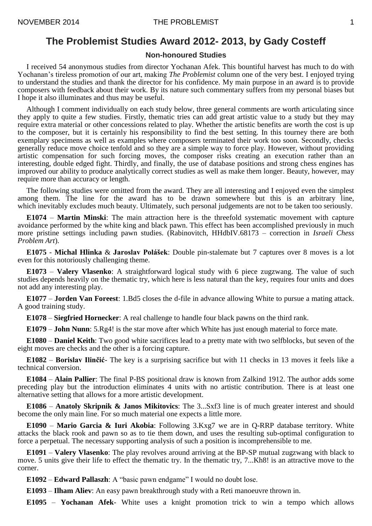## **The Problemist Studies Award 2012- 2013, by Gady Costeff**

## **Non-honoured Studies**

I received 54 anonymous studies from director Yochanan Afek. This bountiful harvest has much to do with Yochanan's tireless promotion of our art, making *The Problemist* column one of the very best. I enjoyed trying to understand the studies and thank the director for his confidence. My main purpose in an award is to provide composers with feedback about their work. By its nature such commentary suffers from my personal biases but I hope it also illuminates and thus may be useful.

Although I comment individually on each study below, three general comments are worth articulating since they apply to quite a few studies. Firstly, thematic tries can add great artistic value to a study but they may require extra material or other concessions related to play. Whether the artistic benefits are worth the cost is up to the composer, but it is certainly his responsibility to find the best setting. In this tourney there are both exemplary specimens as well as examples where composers terminated their work too soon. Secondly, checks generally reduce move choice tenfold and so they are a simple way to force play. However, without providing artistic compensation for such forcing moves, the composer risks creating an execution rather than an interesting, double edged fight. Thirdly, and finally, the use of database positions and strong chess engines has improved our ability to produce analytically correct studies as well as make them longer. Beauty, however, may require more than accuracy or length.

The following studies were omitted from the award. They are all interesting and I enjoyed even the simplest among them. The line for the award has to be drawn somewhere but this is an arbitrary line, which inevitably excludes much beauty. Ultimately, such personal judgements are not to be taken too seriously.

**E1074** – **Martin Minski**: The main attraction here is the threefold systematic movement with capture avoidance performed by the white king and black pawn. This effect has been accomplished previously in much more pristine settings including pawn studies. (Rabinovitch, HHdbIV.68173 – correction in *Israeli Chess Problem Art*).

**E1075** - **Michal Hlinka** & **Jaroslav Polášek**: Double pin-stalemate but 7 captures over 8 moves is a lot even for this notoriously challenging theme.

**E1073** – **Valery Vlasenko**: A straightforward logical study with 6 piece zugzwang. The value of such studies depends heavily on the thematic try, which here is less natural than the key, requires four units and does not add any interesting play.

**E1077** – **Jorden Van Foreest**: 1.Bd5 closes the d-file in advance allowing White to pursue a mating attack. A good training study.

**E1078** – **Siegfried Hornecker**: A real challenge to handle four black pawns on the third rank.

**E1079** – **John Nunn**: 5.Rg4! is the star move after which White has just enough material to force mate.

**E1080** – **Daniel Keith**: Two good white sacrifices lead to a pretty mate with two selfblocks, but seven of the eight moves are checks and the other is a forcing capture.

**E1082** – **Borislav Ilinčić**- The key is a surprising sacrifice but with 11 checks in 13 moves it feels like a technical conversion.

**E1084** – **Alain Pallier**: The final P-BS positional draw is known from Zalkind 1912. The author adds some preceding play but the introduction eliminates 4 units with no artistic contribution. There is at least one alternative setting that allows for a more artistic development.

**E1086** – **Anatoly Skripnik & Janos Mikitovics**: The 3...Sxf3 line is of much greater interest and should become the only main line. For so much material one expects a little more.

**E1090** – **Mario Garcia & Iuri Akobia**: Following 3.Kxg7 we are in Q-RRP database territory. White attacks the black rook and pawn so as to tie them down, and uses the resulting sub-optimal configuration to force a perpetual. The necessary supporting analysis of such a position is incomprehensible to me.

**E1091** – **Valery Vlasenko**: The play revolves around arriving at the BP-SP mutual zugzwang with black to move. 5 units give their life to effect the thematic try. In the thematic try, 7...Kh8! is an attractive move to the corner.

**E1092** – **Edward Pallaszh**: A "basic pawn endgame" I would no doubt lose.

**E1093** – **Ilham Aliev**: An easy pawn breakthrough study with a Reti manoeuvre thrown in.

**E1095** – **Yochanan Afek**- White uses a knight promotion trick to win a tempo which allows